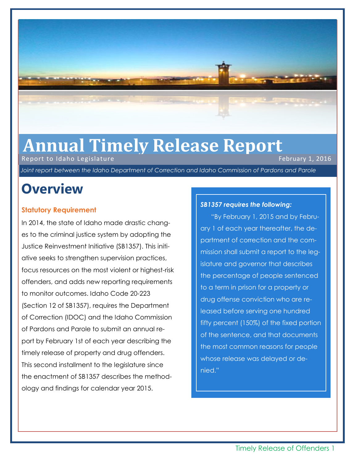

# Annual Timely Release Report<br>Report to Idaho Legislature

Report to Idaho Legislature

*Joint report between the Idaho Department of Correction and Idaho Commission of Pardons and Parole*

### **Overview**

### **Statutory Requirement**

In 2014, the state of Idaho made drastic changes to the criminal justice system by adopting the Justice Reinvestment Initiative (SB1357). This initiative seeks to strengthen supervision practices, focus resources on the most violent or highest-risk offenders, and adds new reporting requirements to monitor outcomes. Idaho Code 20-223 (Section 12 of SB1357), requires the Department of Correction (IDOC) and the Idaho Commission of Pardons and Parole to submit an annual report by February 1st of each year describing the timely release of property and drug offenders. This second installment to the legislature since the enactment of SB1357 describes the methodology and findings for calendar year 2015.

### *SB1357 requires the following:*

"By February 1, 2015 and by February 1 of each year thereafter, the department of correction and the commission shall submit a report to the legislature and governor that describes the percentage of people sentenced to a term in prison for a property or drug offense conviction who are released before serving one hundred fifty percent (150%) of the fixed portion of the sentence, and that documents the most common reasons for people whose release was delayed or denied."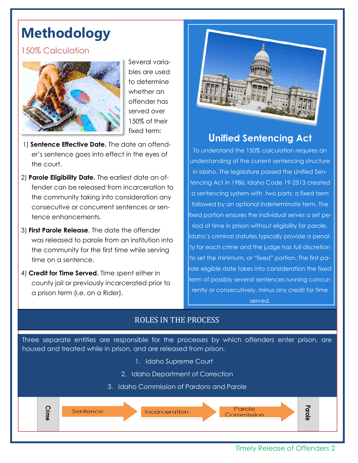# **Methodology**

### 150% Calculation



Several variables are used to determine whether an offender has served over 150% of their fixed term:

- 1) **Sentence Effective Date.** The date an offender's sentence goes into effect in the eyes of the court.
- 2) **Parole Eligibility Date.** The earliest date an offender can be released from incarceration to the community taking into consideration any consecutive or concurrent sentences or sentence enhancements.
- 3) **First Parole Release**. The date the offender was released to parole from an institution into the community for the first time while serving time on a sentence.
- 4) **Credit for Time Served.** Time spent either in county jail or previously incarcerated prior to a prison term (i.e. on a Rider).



### **Unified Sentencing Act**

To understand the 150% calculation requires an understanding of the current sentencing structure in Idaho. The legislature passed the Unified Sentencing Act in 1986. Idaho Code 19-2513 created a sentencing system with two parts; a fixed term followed by an optional indeterminate term. The fixed portion ensures the individual serves a set period of time in prison without eligibility for parole. Idaho's criminal statutes typically provide a penalty for each crime and the judge has full discretion to set the minimum, or "fixed" portion. The first parole eligible date takes into consideration the fixed term of possibly several sentences running concurrently or consecutively, minus any credit for time served.

### ROLES IN THE PROCESS

Three separate entities are responsible for the processes by which offenders enter prison, are housed and treated while in prison, and are released from prison.

- 1. Idaho Supreme Court
- 2. Idaho Department of Correction
- 3. Idaho Commission of Pardons and Parole

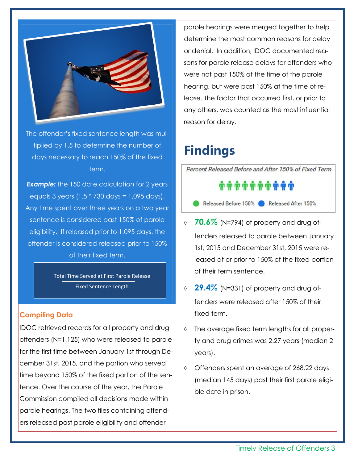

The offender's fixed sentence length was multiplied by 1.5 to determine the number of days necessary to reach 150% of the fixed term.

**Example:** the 150 date calculation for 2 years equals 3 years (1.5 \* 730 days = 1,095 days). Any time spent over three years on a two year sentence is considered past 150% of parole eligibility. If released prior to 1,095 days, the offender is considered released prior to 150% of their fixed term.

> Total Time Served at First Parole Release Fixed Sentence Length

### **Compiling Data**

IDOC retrieved records for all property and drug offenders (N=1,125) who were released to parole for the first time between January 1st through December 31st, 2015, and the portion who served time beyond 150% of the fixed portion of the sentence. Over the course of the year, the Parole Commission compiled all decisions made within parole hearings. The two files containing offenders released past parole eligibility and offender

parole hearings were merged together to help determine the most common reasons for delay or denial. In addition, IDOC documented reasons for parole release delays for offenders who were not past 150% at the time of the parole hearing, but were past 150% at the time of release. The factor that occurred first, or prior to any others, was counted as the most influential reason for delay.

## **Findings**

Percent Released Before and After 150% of Fixed Term

##########

- Released Before 150% Released After 150%
- **70.6%** (N=794) of property and drug offenders released to parole between January 1st, 2015 and December 31st, 2015 were released at or prior to 150% of the fixed portion of their term sentence.
- **29.4%** (N=331) of property and drug offenders were released after 150% of their fixed term.
- The average fixed term lengths for all property and drug crimes was 2.27 years (median 2 years).
- Offenders spent an average of 268.22 days (median 145 days) past their first parole eligible date in prison.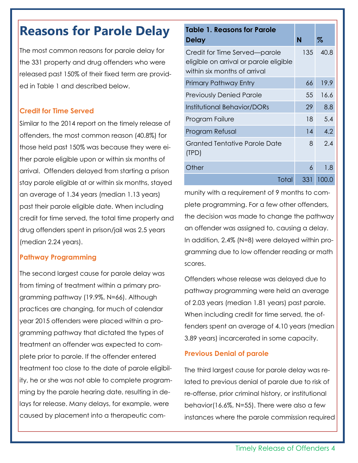### **Reasons for Parole Delay**

The most common reasons for parole delay for the 331 property and drug offenders who were released past 150% of their fixed term are provided in Table 1 and described below.

### **Credit for Time Served**

Similar to the 2014 report on the timely release of offenders, the most common reason (40.8%) for those held past 150% was because they were either parole eligible upon or within six months of arrival. Offenders delayed from starting a prison stay parole eligible at or within six months, stayed an average of 1.34 years (median 1.13 years) past their parole eligible date. When including credit for time served, the total time property and drug offenders spent in prison/jail was 2.5 years (median 2.24 years).

### **Pathway Programming**

The second largest cause for parole delay was from timing of treatment within a primary programming pathway (19.9%, N=66). Although practices are changing, for much of calendar year 2015 offenders were placed within a programming pathway that dictated the types of treatment an offender was expected to complete prior to parole. If the offender entered treatment too close to the date of parole eligibility, he or she was not able to complete programming by the parole hearing date, resulting in delays for release. Many delays, for example, were caused by placement into a therapeutic com-

| <b>Table 1. Reasons for Parole</b><br><b>Delay</b>                                                      | N   | %                |
|---------------------------------------------------------------------------------------------------------|-----|------------------|
| Credit for Time Served—parole<br>eligible on arrival or parole eligible<br>within six months of arrival | 135 | 40.8             |
| Primary Pathway Entry                                                                                   | 66  | 19.9             |
| <b>Previously Denied Parole</b>                                                                         | 55  | 16.6             |
| Institutional Behavior/DORs                                                                             | 29  | 8.8              |
| Program Failure                                                                                         | 18  | 5.4              |
| Program Refusal                                                                                         | 14  | $\overline{4.2}$ |
| Granted Tentative Parole Date<br>(TPD)                                                                  | 8   | 2.4              |
| Other                                                                                                   | 6   | 1.8              |
| Total                                                                                                   | 331 | 100.0            |

munity with a requirement of 9 months to complete programming. For a few other offenders, the decision was made to change the pathway an offender was assigned to, causing a delay. In addition, 2.4% (N=8) were delayed within programming due to low offender reading or math scores.

Offenders whose release was delayed due to pathway programming were held an average of 2.03 years (median 1.81 years) past parole. When including credit for time served, the offenders spent an average of 4.10 years (median 3.89 years) incarcerated in some capacity.

#### **Previous Denial of parole**

The third largest cause for parole delay was related to previous denial of parole due to risk of re-offense, prior criminal history, or institutional behavior(16.6%, N=55). There were also a few instances where the parole commission required